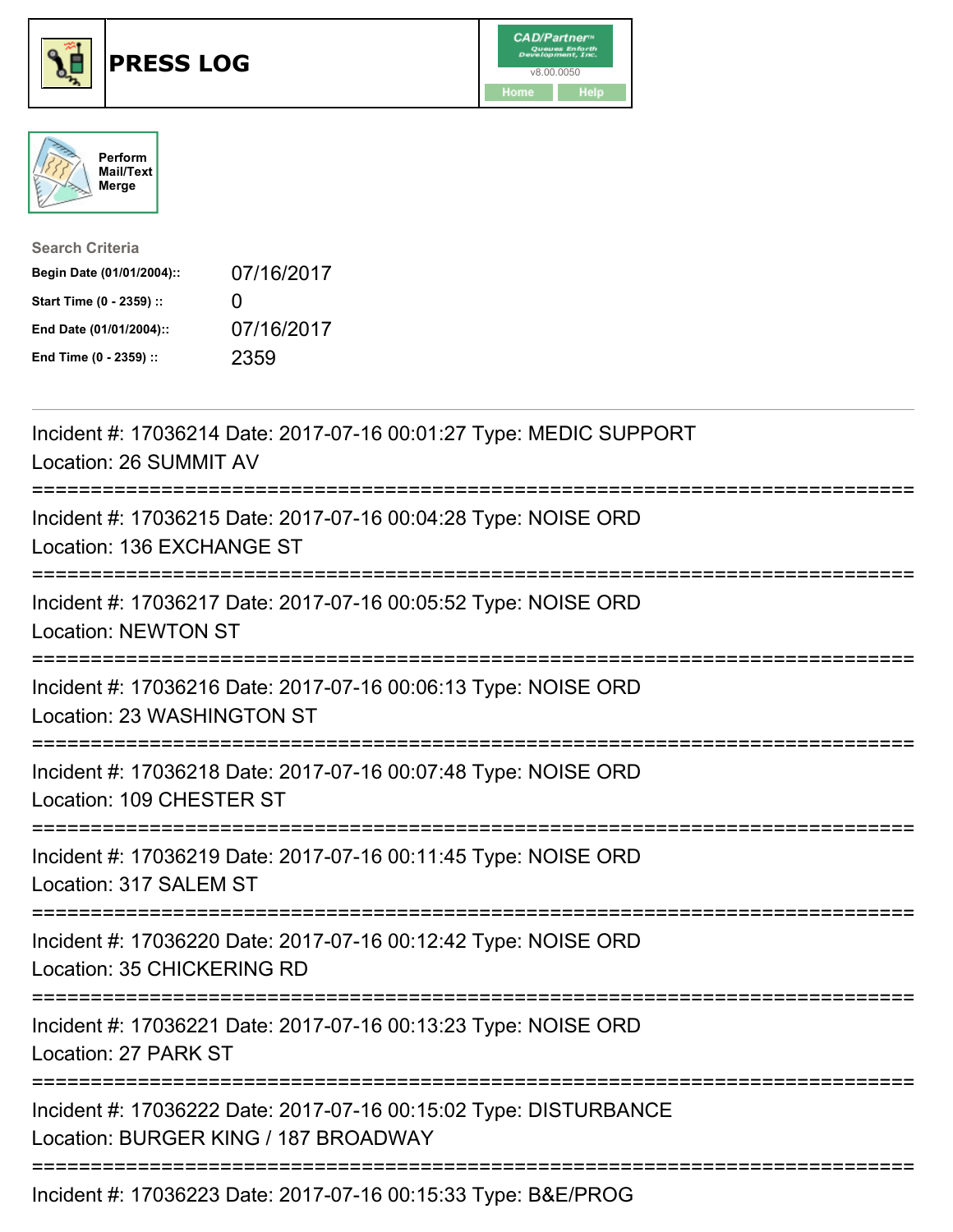





| <b>Search Criteria</b>    |              |
|---------------------------|--------------|
| Begin Date (01/01/2004):: | 07/16/2017   |
| Start Time (0 - 2359) ::  | $\mathbf{I}$ |
| End Date (01/01/2004)::   | 07/16/2017   |
| End Time (0 - 2359) ::    | 2359         |

| Incident #: 17036214 Date: 2017-07-16 00:01:27 Type: MEDIC SUPPORT<br>Location: 26 SUMMIT AV             |
|----------------------------------------------------------------------------------------------------------|
| Incident #: 17036215 Date: 2017-07-16 00:04:28 Type: NOISE ORD<br>Location: 136 EXCHANGE ST              |
| Incident #: 17036217 Date: 2017-07-16 00:05:52 Type: NOISE ORD<br><b>Location: NEWTON ST</b>             |
| Incident #: 17036216 Date: 2017-07-16 00:06:13 Type: NOISE ORD<br>Location: 23 WASHINGTON ST             |
| Incident #: 17036218 Date: 2017-07-16 00:07:48 Type: NOISE ORD<br>Location: 109 CHESTER ST               |
| Incident #: 17036219 Date: 2017-07-16 00:11:45 Type: NOISE ORD<br>Location: 317 SALEM ST                 |
| Incident #: 17036220 Date: 2017-07-16 00:12:42 Type: NOISE ORD<br>Location: 35 CHICKERING RD             |
| Incident #: 17036221 Date: 2017-07-16 00:13:23 Type: NOISE ORD<br>Location: 27 PARK ST                   |
| Incident #: 17036222 Date: 2017-07-16 00:15:02 Type: DISTURBANCE<br>Location: BURGER KING / 187 BROADWAY |
| Incident #: 17036223 Date: 2017-07-16 00:15:33 Type: B&E/PROG                                            |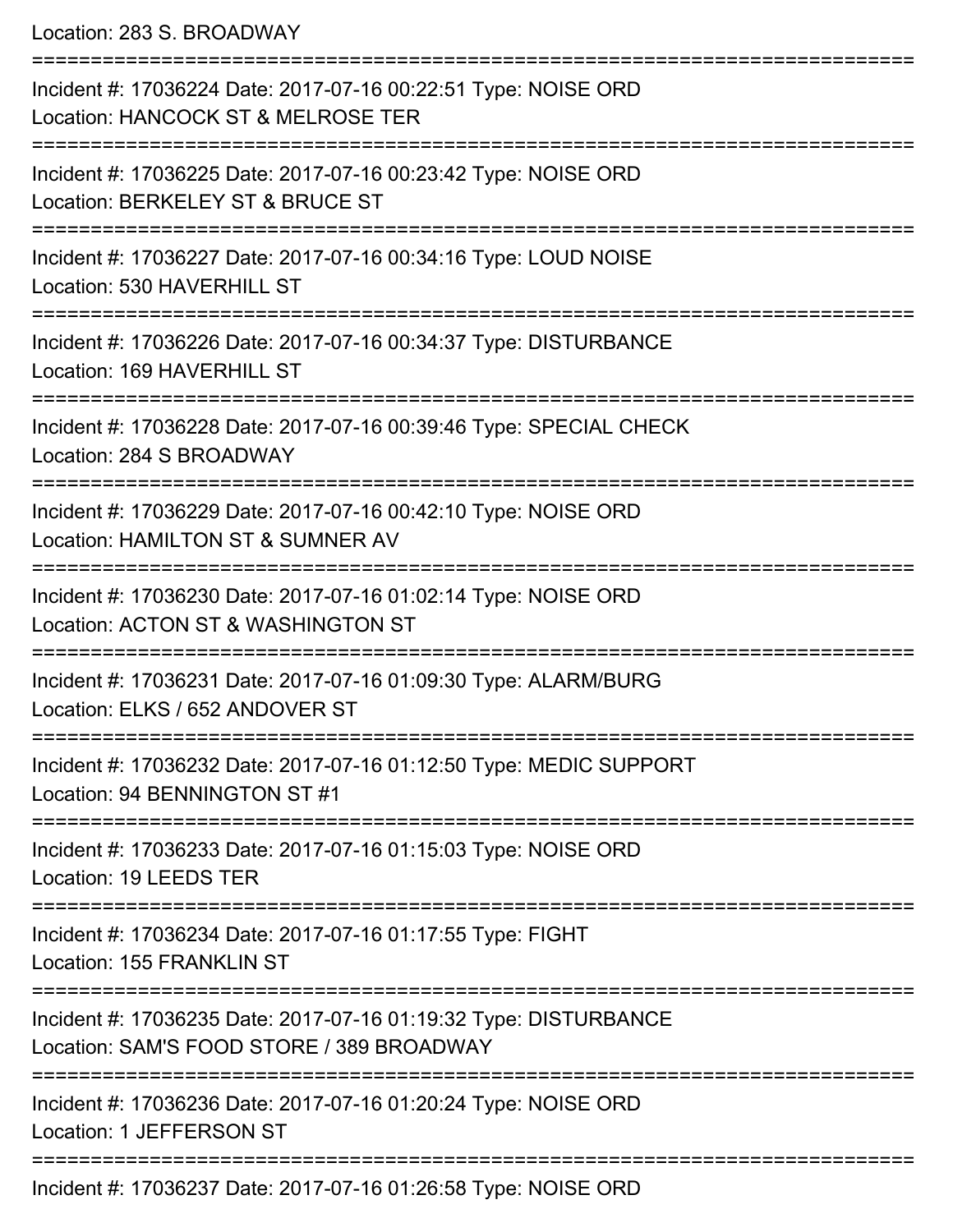Location: 283 S. BROADWAY

=========================================================================== Incident #: 17036224 Date: 2017-07-16 00:22:51 Type: NOISE ORD Location: HANCOCK ST & MELROSE TER =========================================================================== Incident #: 17036225 Date: 2017-07-16 00:23:42 Type: NOISE ORD Location: BERKELEY ST & BRUCE ST =========================================================================== Incident #: 17036227 Date: 2017-07-16 00:34:16 Type: LOUD NOISE Location: 530 HAVERHILL ST =========================================================================== Incident #: 17036226 Date: 2017-07-16 00:34:37 Type: DISTURBANCE Location: 169 HAVERHILL ST =========================================================================== Incident #: 17036228 Date: 2017-07-16 00:39:46 Type: SPECIAL CHECK Location: 284 S BROADWAY =========================================================================== Incident #: 17036229 Date: 2017-07-16 00:42:10 Type: NOISE ORD Location: HAMILTON ST & SUMNER AV =========================================================================== Incident #: 17036230 Date: 2017-07-16 01:02:14 Type: NOISE ORD Location: ACTON ST & WASHINGTON ST =========================================================================== Incident #: 17036231 Date: 2017-07-16 01:09:30 Type: ALARM/BURG Location: ELKS / 652 ANDOVER ST =========================================================================== Incident #: 17036232 Date: 2017-07-16 01:12:50 Type: MEDIC SUPPORT Location: 94 BENNINGTON ST #1 =========================================================================== Incident #: 17036233 Date: 2017-07-16 01:15:03 Type: NOISE ORD Location: 19 LEEDS TER =========================================================================== Incident #: 17036234 Date: 2017-07-16 01:17:55 Type: FIGHT Location: 155 FRANKLIN ST =========================================================================== Incident #: 17036235 Date: 2017-07-16 01:19:32 Type: DISTURBANCE Location: SAM'S FOOD STORE / 389 BROADWAY =========================================================================== Incident #: 17036236 Date: 2017-07-16 01:20:24 Type: NOISE ORD Location: 1 JEFFERSON ST =========================================================================== Incident #: 17036237 Date: 2017-07-16 01:26:58 Type: NOISE ORD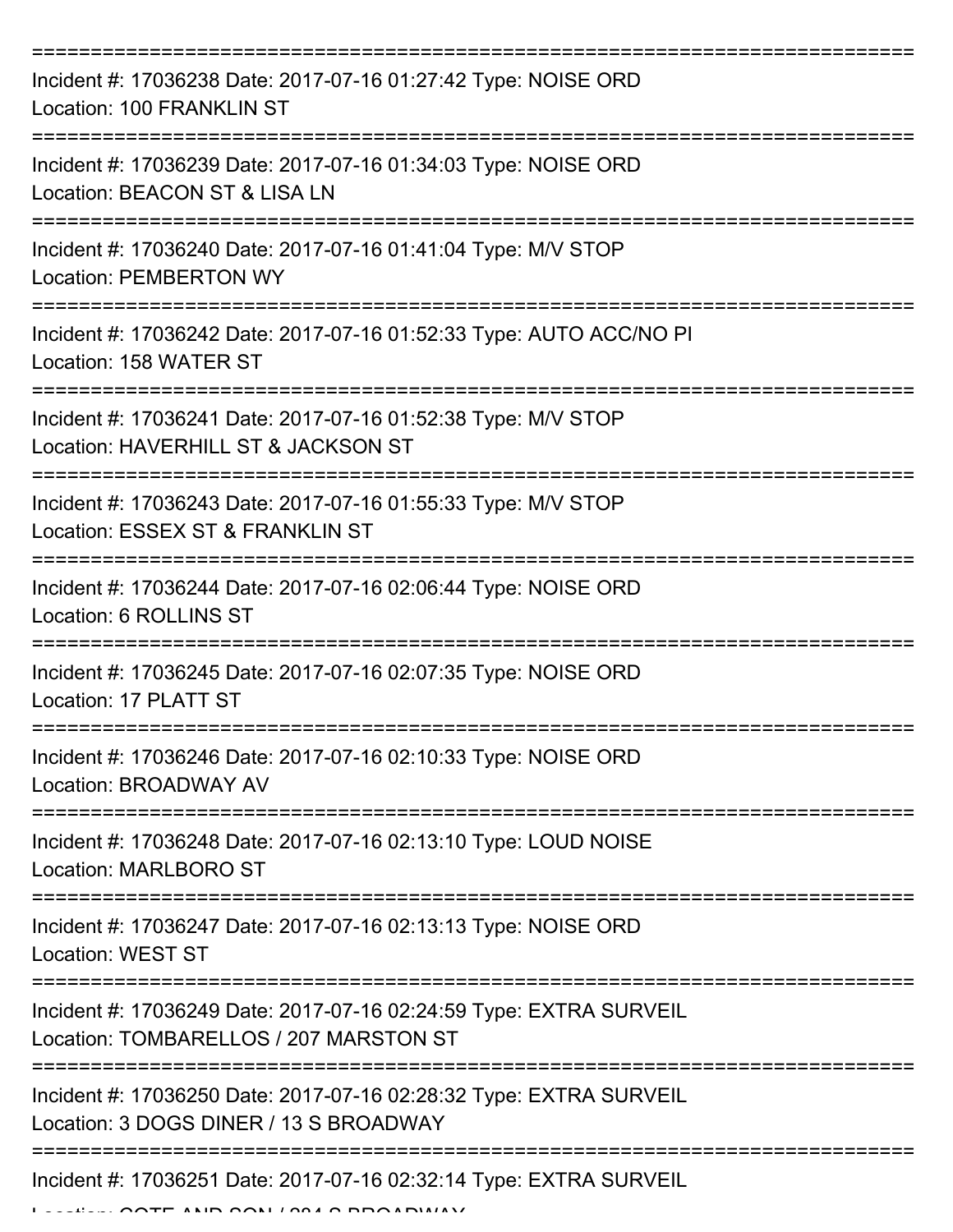| Incident #: 17036238 Date: 2017-07-16 01:27:42 Type: NOISE ORD<br>Location: 100 FRANKLIN ST                                                            |
|--------------------------------------------------------------------------------------------------------------------------------------------------------|
| Incident #: 17036239 Date: 2017-07-16 01:34:03 Type: NOISE ORD<br>Location: BEACON ST & LISA LN                                                        |
| Incident #: 17036240 Date: 2017-07-16 01:41:04 Type: M/V STOP<br><b>Location: PEMBERTON WY</b>                                                         |
| Incident #: 17036242 Date: 2017-07-16 01:52:33 Type: AUTO ACC/NO PI<br>Location: 158 WATER ST                                                          |
| Incident #: 17036241 Date: 2017-07-16 01:52:38 Type: M/V STOP<br>Location: HAVERHILL ST & JACKSON ST                                                   |
| Incident #: 17036243 Date: 2017-07-16 01:55:33 Type: M/V STOP<br>Location: ESSEX ST & FRANKLIN ST                                                      |
| Incident #: 17036244 Date: 2017-07-16 02:06:44 Type: NOISE ORD<br>Location: 6 ROLLINS ST                                                               |
| Incident #: 17036245 Date: 2017-07-16 02:07:35 Type: NOISE ORD<br>Location: 17 PLATT ST                                                                |
| Incident #: 17036246 Date: 2017-07-16 02:10:33 Type: NOISE ORD<br>Location: BROADWAY AV                                                                |
| Incident #: 17036248 Date: 2017-07-16 02:13:10 Type: LOUD NOISE<br><b>Location: MARLBORO ST</b>                                                        |
| Incident #: 17036247 Date: 2017-07-16 02:13:13 Type: NOISE ORD<br><b>Location: WEST ST</b>                                                             |
| Incident #: 17036249 Date: 2017-07-16 02:24:59 Type: EXTRA SURVEIL<br>Location: TOMBARELLOS / 207 MARSTON ST                                           |
| Incident #: 17036250 Date: 2017-07-16 02:28:32 Type: EXTRA SURVEIL<br>Location: 3 DOGS DINER / 13 S BROADWAY<br>-------------------------------------- |
| Incident #: 17036251 Date: 2017-07-16 02:32:14 Type: EXTRA SURVEIL                                                                                     |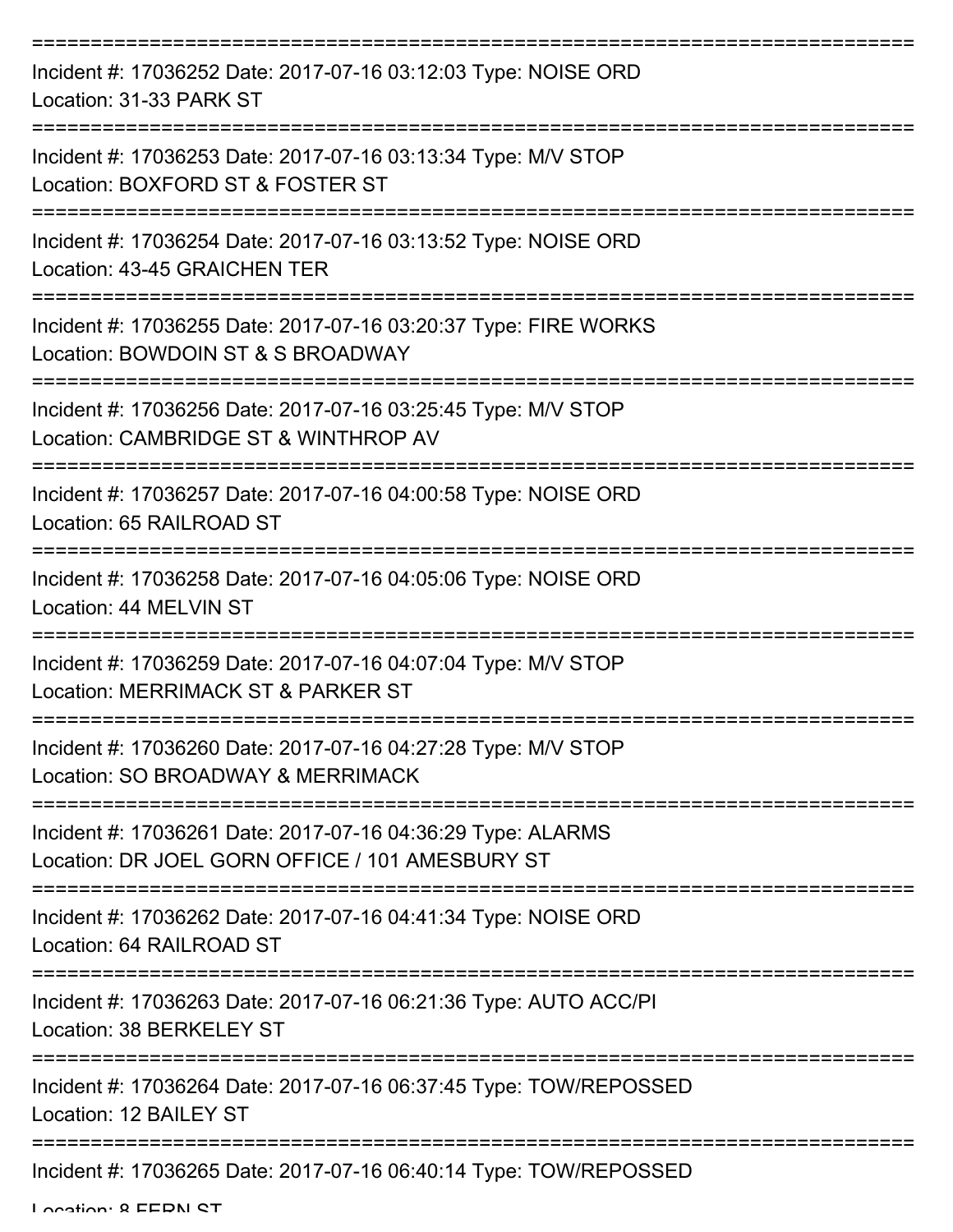| Incident #: 17036252 Date: 2017-07-16 03:12:03 Type: NOISE ORD<br>Location: 31-33 PARK ST                      |
|----------------------------------------------------------------------------------------------------------------|
| Incident #: 17036253 Date: 2017-07-16 03:13:34 Type: M/V STOP<br>Location: BOXFORD ST & FOSTER ST              |
| Incident #: 17036254 Date: 2017-07-16 03:13:52 Type: NOISE ORD<br>Location: 43-45 GRAICHEN TER                 |
| Incident #: 17036255 Date: 2017-07-16 03:20:37 Type: FIRE WORKS<br>Location: BOWDOIN ST & S BROADWAY           |
| Incident #: 17036256 Date: 2017-07-16 03:25:45 Type: M/V STOP<br>Location: CAMBRIDGE ST & WINTHROP AV          |
| Incident #: 17036257 Date: 2017-07-16 04:00:58 Type: NOISE ORD<br>Location: 65 RAILROAD ST                     |
| Incident #: 17036258 Date: 2017-07-16 04:05:06 Type: NOISE ORD<br>Location: 44 MELVIN ST                       |
| Incident #: 17036259 Date: 2017-07-16 04:07:04 Type: M/V STOP<br>Location: MERRIMACK ST & PARKER ST            |
| Incident #: 17036260 Date: 2017-07-16 04:27:28 Type: M/V STOP<br>Location: SO BROADWAY & MERRIMACK             |
| Incident #: 17036261 Date: 2017-07-16 04:36:29 Type: ALARMS<br>Location: DR JOEL GORN OFFICE / 101 AMESBURY ST |
| Incident #: 17036262 Date: 2017-07-16 04:41:34 Type: NOISE ORD<br>Location: 64 RAILROAD ST                     |
| Incident #: 17036263 Date: 2017-07-16 06:21:36 Type: AUTO ACC/PI<br>Location: 38 BERKELEY ST                   |
| Incident #: 17036264 Date: 2017-07-16 06:37:45 Type: TOW/REPOSSED<br>Location: 12 BAILEY ST                    |
| Incident #: 17036265 Date: 2017-07-16 06:40:14 Type: TOW/REPOSSED                                              |

Location: 8 EEDN CT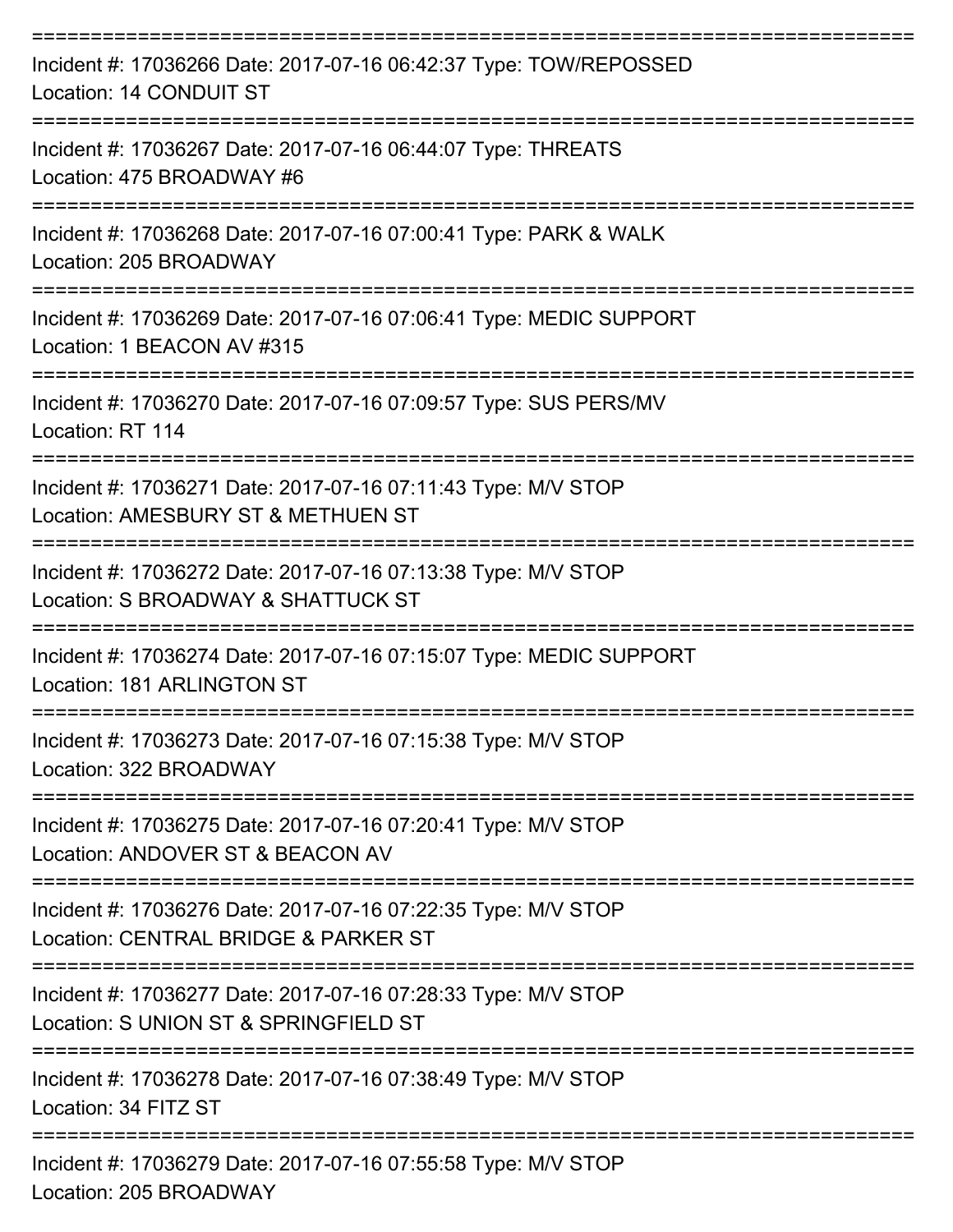| Incident #: 17036266 Date: 2017-07-16 06:42:37 Type: TOW/REPOSSED<br>Location: 14 CONDUIT ST                        |
|---------------------------------------------------------------------------------------------------------------------|
| Incident #: 17036267 Date: 2017-07-16 06:44:07 Type: THREATS<br>Location: 475 BROADWAY #6                           |
| Incident #: 17036268 Date: 2017-07-16 07:00:41 Type: PARK & WALK<br>Location: 205 BROADWAY                          |
| Incident #: 17036269 Date: 2017-07-16 07:06:41 Type: MEDIC SUPPORT<br>Location: 1 BEACON AV #315<br>--------------- |
| Incident #: 17036270 Date: 2017-07-16 07:09:57 Type: SUS PERS/MV<br>Location: RT 114                                |
| Incident #: 17036271 Date: 2017-07-16 07:11:43 Type: M/V STOP<br>Location: AMESBURY ST & METHUEN ST                 |
| Incident #: 17036272 Date: 2017-07-16 07:13:38 Type: M/V STOP<br>Location: S BROADWAY & SHATTUCK ST                 |
| Incident #: 17036274 Date: 2017-07-16 07:15:07 Type: MEDIC SUPPORT<br>Location: 181 ARLINGTON ST                    |
| Incident #: 17036273 Date: 2017-07-16 07:15:38 Type: M/V STOP<br>Location: 322 BROADWAY                             |
| Incident #: 17036275 Date: 2017-07-16 07:20:41 Type: M/V STOP<br>Location: ANDOVER ST & BEACON AV                   |
| Incident #: 17036276 Date: 2017-07-16 07:22:35 Type: M/V STOP<br>Location: CENTRAL BRIDGE & PARKER ST               |
| Incident #: 17036277 Date: 2017-07-16 07:28:33 Type: M/V STOP<br>Location: S UNION ST & SPRINGFIELD ST              |
| Incident #: 17036278 Date: 2017-07-16 07:38:49 Type: M/V STOP<br>Location: 34 FITZ ST                               |
| Incident #: 17036279 Date: 2017-07-16 07:55:58 Type: M/V STOP<br>Location: $\Omega$ C DD $\Omega$ ADIMAV            |

Location: 205 BROADWAY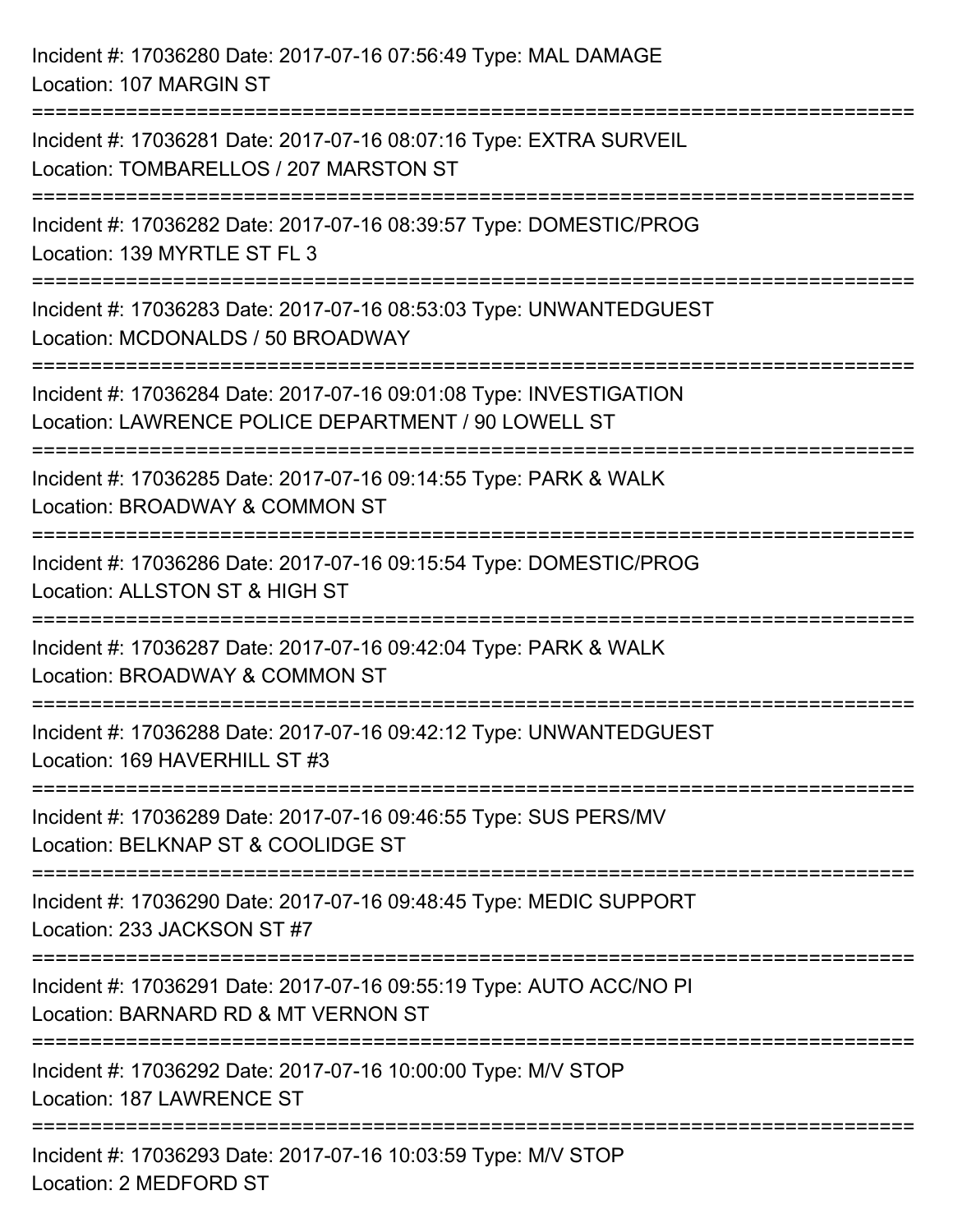| Incident #: 17036280 Date: 2017-07-16 07:56:49 Type: MAL DAMAGE<br>Location: 107 MARGIN ST                                                                    |
|---------------------------------------------------------------------------------------------------------------------------------------------------------------|
| Incident #: 17036281 Date: 2017-07-16 08:07:16 Type: EXTRA SURVEIL<br>Location: TOMBARELLOS / 207 MARSTON ST                                                  |
| Incident #: 17036282 Date: 2017-07-16 08:39:57 Type: DOMESTIC/PROG<br>Location: 139 MYRTLE ST FL 3                                                            |
| Incident #: 17036283 Date: 2017-07-16 08:53:03 Type: UNWANTEDGUEST<br>Location: MCDONALDS / 50 BROADWAY                                                       |
| Incident #: 17036284 Date: 2017-07-16 09:01:08 Type: INVESTIGATION<br>Location: LAWRENCE POLICE DEPARTMENT / 90 LOWELL ST<br>:=============================== |
| Incident #: 17036285 Date: 2017-07-16 09:14:55 Type: PARK & WALK<br>Location: BROADWAY & COMMON ST                                                            |
| Incident #: 17036286 Date: 2017-07-16 09:15:54 Type: DOMESTIC/PROG<br>Location: ALLSTON ST & HIGH ST                                                          |
| Incident #: 17036287 Date: 2017-07-16 09:42:04 Type: PARK & WALK<br>Location: BROADWAY & COMMON ST                                                            |
| Incident #: 17036288 Date: 2017-07-16 09:42:12 Type: UNWANTEDGUEST<br>Location: 169 HAVERHILL ST #3                                                           |
| Incident #: 17036289 Date: 2017-07-16 09:46:55 Type: SUS PERS/MV<br>Location: BELKNAP ST & COOLIDGE ST                                                        |
| ========================<br>Incident #: 17036290 Date: 2017-07-16 09:48:45 Type: MEDIC SUPPORT<br>Location: 233 JACKSON ST #7                                 |
| -===================================<br>Incident #: 17036291 Date: 2017-07-16 09:55:19 Type: AUTO ACC/NO PI<br>Location: BARNARD RD & MT VERNON ST            |
| Incident #: 17036292 Date: 2017-07-16 10:00:00 Type: M/V STOP<br>Location: 187 LAWRENCE ST                                                                    |
| Incident #: 17036293 Date: 2017-07-16 10:03:59 Type: M/V STOP<br>Location: 2 MEDFORD ST                                                                       |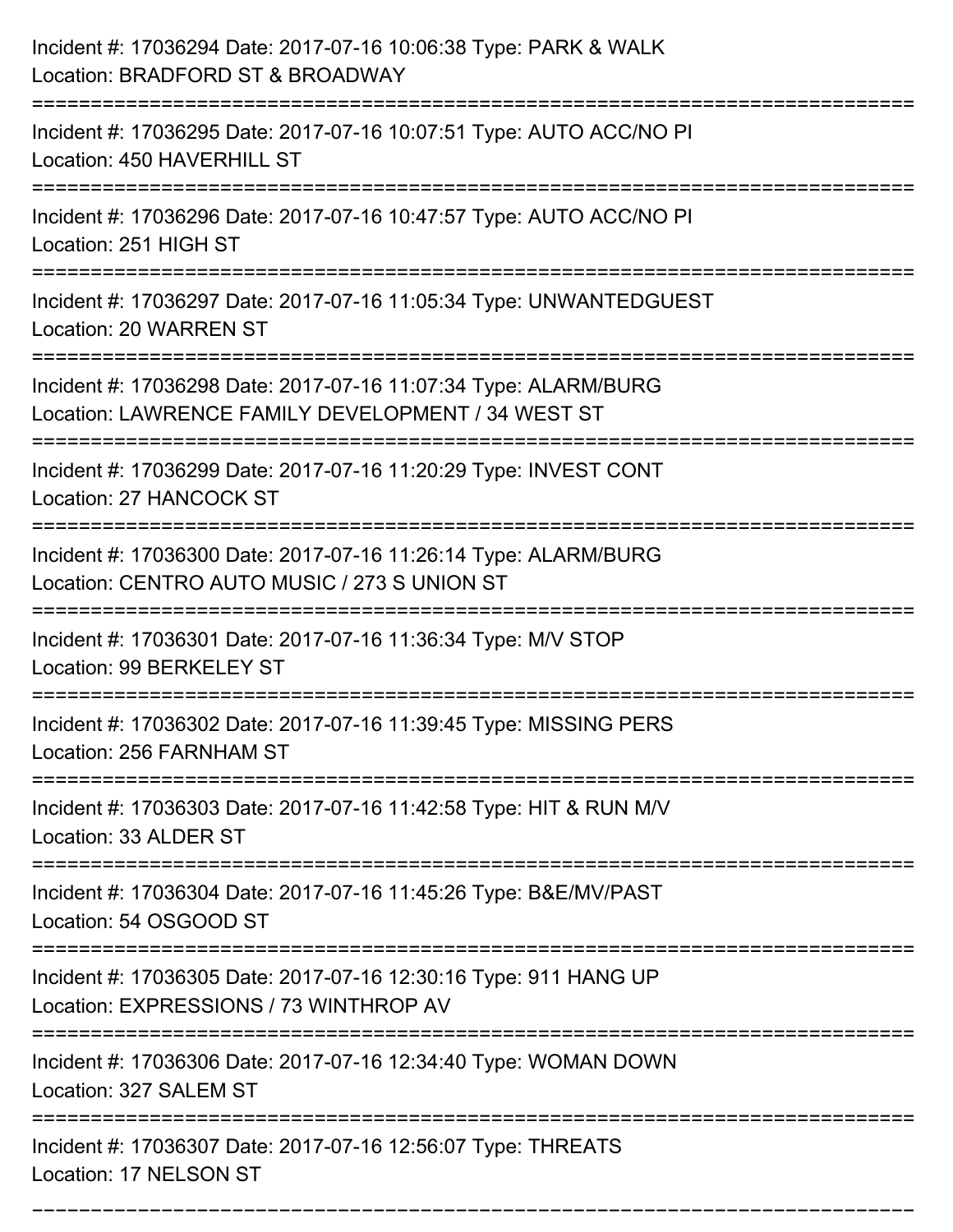| Incident #: 17036294 Date: 2017-07-16 10:06:38 Type: PARK & WALK<br>Location: BRADFORD ST & BROADWAY                                 |
|--------------------------------------------------------------------------------------------------------------------------------------|
| Incident #: 17036295 Date: 2017-07-16 10:07:51 Type: AUTO ACC/NO PI<br>Location: 450 HAVERHILL ST                                    |
| Incident #: 17036296 Date: 2017-07-16 10:47:57 Type: AUTO ACC/NO PI<br>Location: 251 HIGH ST                                         |
| Incident #: 17036297 Date: 2017-07-16 11:05:34 Type: UNWANTEDGUEST<br>Location: 20 WARREN ST                                         |
| Incident #: 17036298 Date: 2017-07-16 11:07:34 Type: ALARM/BURG<br>Location: LAWRENCE FAMILY DEVELOPMENT / 34 WEST ST                |
| Incident #: 17036299 Date: 2017-07-16 11:20:29 Type: INVEST CONT<br>Location: 27 HANCOCK ST                                          |
| Incident #: 17036300 Date: 2017-07-16 11:26:14 Type: ALARM/BURG<br>Location: CENTRO AUTO MUSIC / 273 S UNION ST                      |
| Incident #: 17036301 Date: 2017-07-16 11:36:34 Type: M/V STOP<br>Location: 99 BERKELEY ST                                            |
| Incident #: 17036302 Date: 2017-07-16 11:39:45 Type: MISSING PERS<br>Location: 256 FARNHAM ST                                        |
| Incident #: 17036303 Date: 2017-07-16 11:42:58 Type: HIT & RUN M/V<br>Location: 33 ALDER ST<br>:==================================== |
| Incident #: 17036304 Date: 2017-07-16 11:45:26 Type: B&E/MV/PAST<br>Location: 54 OSGOOD ST                                           |
| Incident #: 17036305 Date: 2017-07-16 12:30:16 Type: 911 HANG UP<br>Location: EXPRESSIONS / 73 WINTHROP AV                           |
| Incident #: 17036306 Date: 2017-07-16 12:34:40 Type: WOMAN DOWN<br>Location: 327 SALEM ST                                            |
| Incident #: 17036307 Date: 2017-07-16 12:56:07 Type: THREATS<br>Location: 17 NELSON ST                                               |

===========================================================================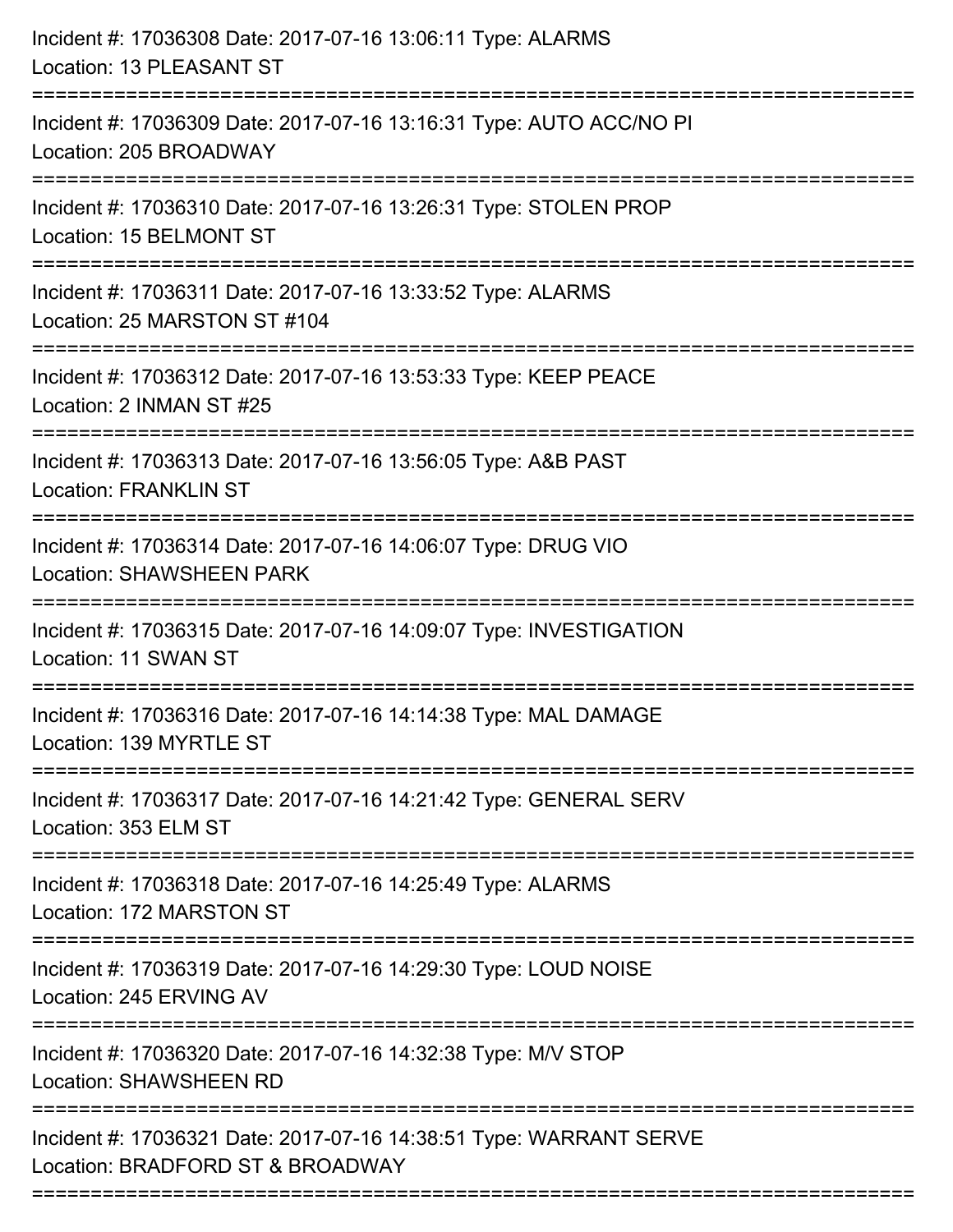| Incident #: 17036308 Date: 2017-07-16 13:06:11 Type: ALARMS<br>Location: 13 PLEASANT ST                                         |
|---------------------------------------------------------------------------------------------------------------------------------|
| Incident #: 17036309 Date: 2017-07-16 13:16:31 Type: AUTO ACC/NO PI<br>Location: 205 BROADWAY                                   |
| Incident #: 17036310 Date: 2017-07-16 13:26:31 Type: STOLEN PROP<br>Location: 15 BELMONT ST                                     |
| Incident #: 17036311 Date: 2017-07-16 13:33:52 Type: ALARMS<br>Location: 25 MARSTON ST #104                                     |
| Incident #: 17036312 Date: 2017-07-16 13:53:33 Type: KEEP PEACE<br>Location: 2 INMAN ST #25<br>-------------------------------- |
| Incident #: 17036313 Date: 2017-07-16 13:56:05 Type: A&B PAST<br><b>Location: FRANKLIN ST</b>                                   |
| Incident #: 17036314 Date: 2017-07-16 14:06:07 Type: DRUG VIO<br><b>Location: SHAWSHEEN PARK</b>                                |
| Incident #: 17036315 Date: 2017-07-16 14:09:07 Type: INVESTIGATION<br>Location: 11 SWAN ST                                      |
| Incident #: 17036316 Date: 2017-07-16 14:14:38 Type: MAL DAMAGE<br>Location: 139 MYRTLE ST                                      |
| ===================<br>Incident #: 17036317 Date: 2017-07-16 14:21:42 Type: GENERAL SERV<br>Location: 353 ELM ST                |
| Incident #: 17036318 Date: 2017-07-16 14:25:49 Type: ALARMS<br>Location: 172 MARSTON ST                                         |
| Incident #: 17036319 Date: 2017-07-16 14:29:30 Type: LOUD NOISE<br>Location: 245 ERVING AV                                      |
| Incident #: 17036320 Date: 2017-07-16 14:32:38 Type: M/V STOP<br><b>Location: SHAWSHEEN RD</b>                                  |
| Incident #: 17036321 Date: 2017-07-16 14:38:51 Type: WARRANT SERVE<br>Location: BRADFORD ST & BROADWAY                          |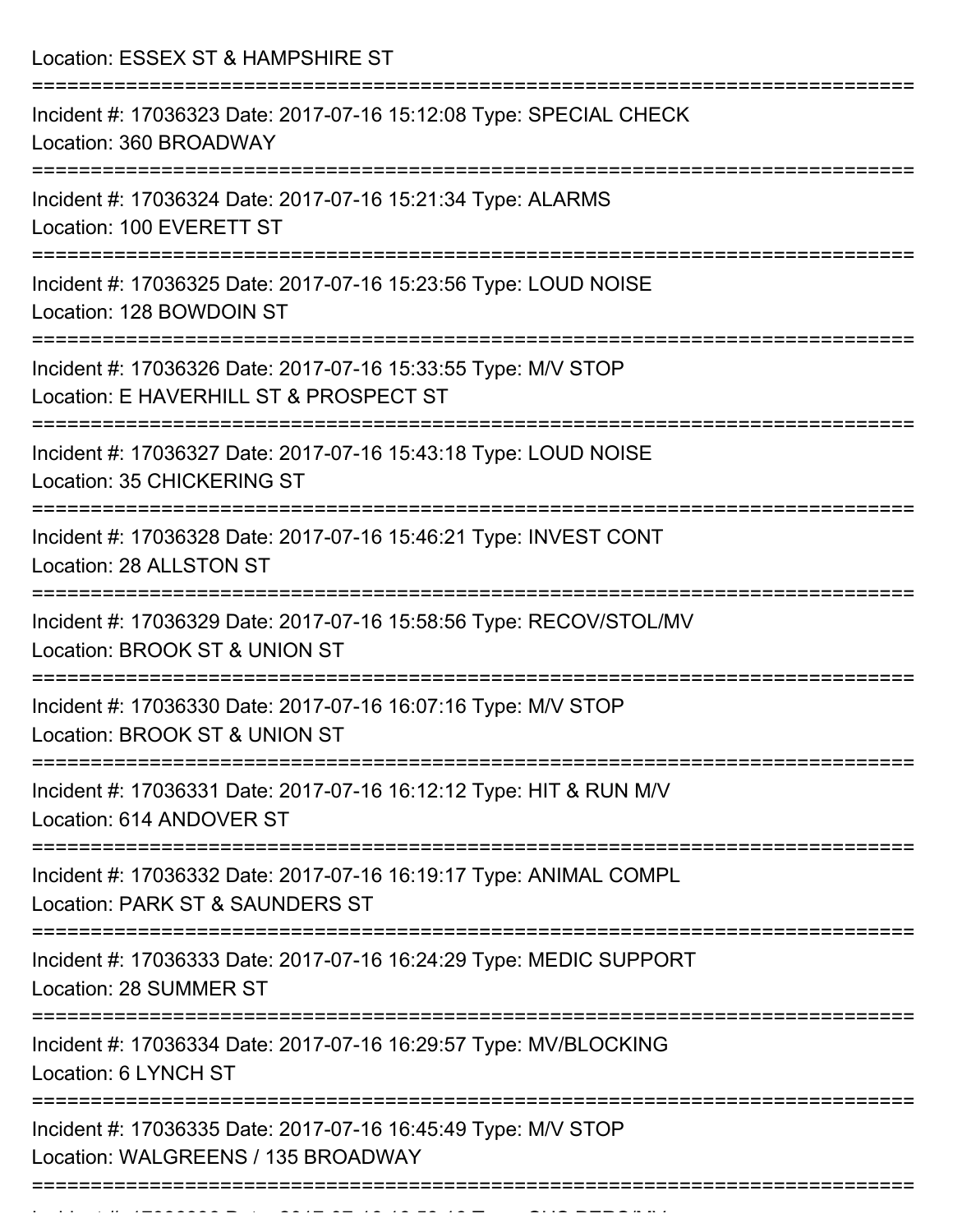| Location: ESSEX ST & HAMPSHIRE ST                                                                       |
|---------------------------------------------------------------------------------------------------------|
| Incident #: 17036323 Date: 2017-07-16 15:12:08 Type: SPECIAL CHECK<br>Location: 360 BROADWAY            |
| Incident #: 17036324 Date: 2017-07-16 15:21:34 Type: ALARMS<br>Location: 100 EVERETT ST                 |
| Incident #: 17036325 Date: 2017-07-16 15:23:56 Type: LOUD NOISE<br>Location: 128 BOWDOIN ST             |
| Incident #: 17036326 Date: 2017-07-16 15:33:55 Type: M/V STOP<br>Location: E HAVERHILL ST & PROSPECT ST |
| Incident #: 17036327 Date: 2017-07-16 15:43:18 Type: LOUD NOISE<br>Location: 35 CHICKERING ST           |
| Incident #: 17036328 Date: 2017-07-16 15:46:21 Type: INVEST CONT<br>Location: 28 ALLSTON ST             |
| Incident #: 17036329 Date: 2017-07-16 15:58:56 Type: RECOV/STOL/MV<br>Location: BROOK ST & UNION ST     |
| Incident #: 17036330 Date: 2017-07-16 16:07:16 Type: M/V STOP<br>Location: BROOK ST & UNION ST          |
| Incident #: 17036331 Date: 2017-07-16 16:12:12 Type: HIT & RUN M/V<br>Location: 614 ANDOVER ST          |
| Incident #: 17036332 Date: 2017-07-16 16:19:17 Type: ANIMAL COMPL<br>Location: PARK ST & SAUNDERS ST    |
| Incident #: 17036333 Date: 2017-07-16 16:24:29 Type: MEDIC SUPPORT<br>Location: 28 SUMMER ST            |
| Incident #: 17036334 Date: 2017-07-16 16:29:57 Type: MV/BLOCKING<br>Location: 6 LYNCH ST                |
| Incident #: 17036335 Date: 2017-07-16 16:45:49 Type: M/V STOP<br>Location: WALGREENS / 135 BROADWAY     |
|                                                                                                         |

Incident #: 17036336 Date: 2017 07 16:58:16 Date: 2017 07 16:58:16 Date: 2017 07 16:58:16 Date: SUS PERS/MVV<br>|-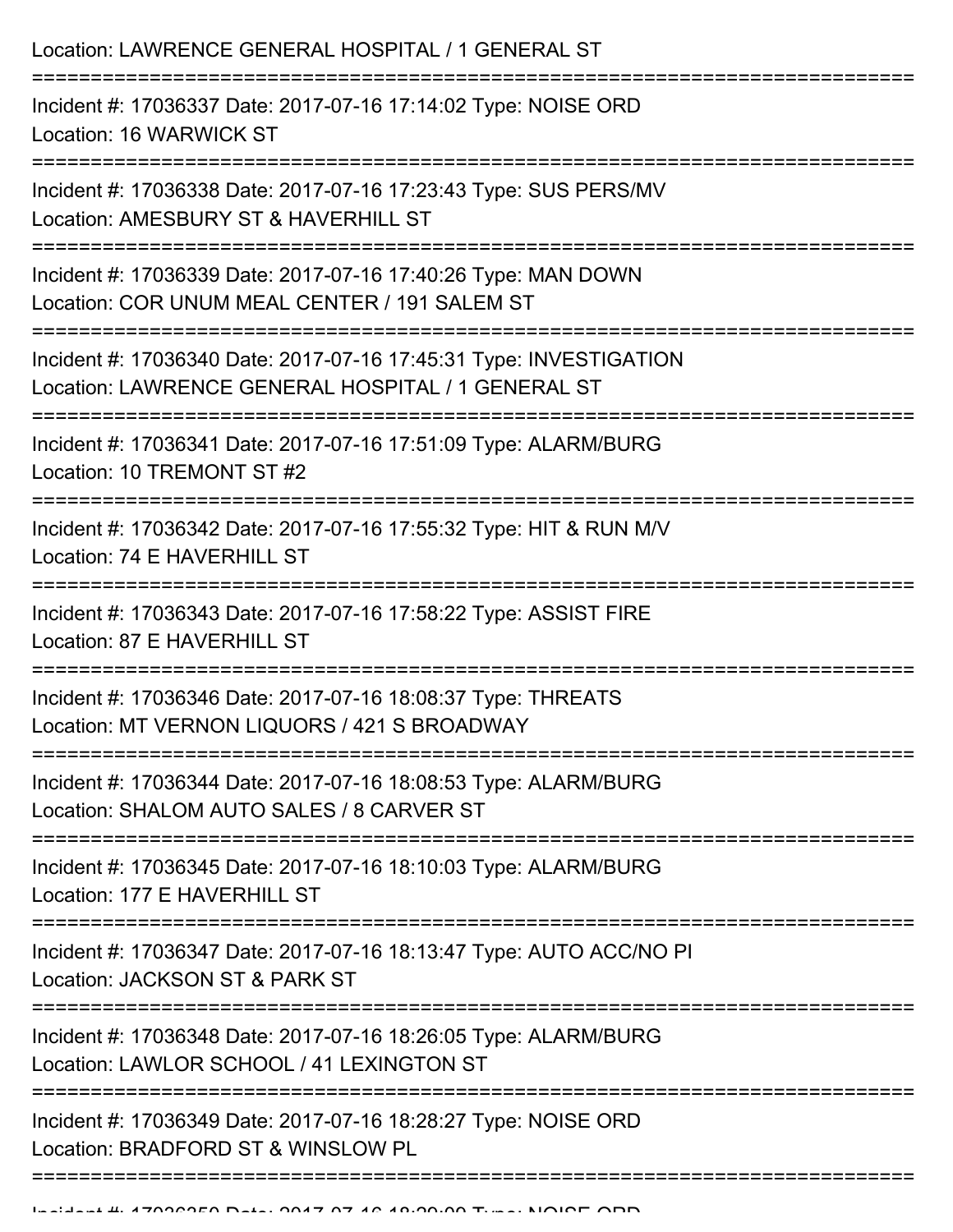| Location: LAWRENCE GENERAL HOSPITAL / 1 GENERAL ST                                                                                                                                          |
|---------------------------------------------------------------------------------------------------------------------------------------------------------------------------------------------|
| Incident #: 17036337 Date: 2017-07-16 17:14:02 Type: NOISE ORD<br>Location: 16 WARWICK ST                                                                                                   |
| Incident #: 17036338 Date: 2017-07-16 17:23:43 Type: SUS PERS/MV<br>Location: AMESBURY ST & HAVERHILL ST                                                                                    |
| Incident #: 17036339 Date: 2017-07-16 17:40:26 Type: MAN DOWN<br>Location: COR UNUM MEAL CENTER / 191 SALEM ST<br>===================================<br>:================================= |
| Incident #: 17036340 Date: 2017-07-16 17:45:31 Type: INVESTIGATION<br>Location: LAWRENCE GENERAL HOSPITAL / 1 GENERAL ST                                                                    |
| Incident #: 17036341 Date: 2017-07-16 17:51:09 Type: ALARM/BURG<br>Location: 10 TREMONT ST #2                                                                                               |
| Incident #: 17036342 Date: 2017-07-16 17:55:32 Type: HIT & RUN M/V<br>Location: 74 E HAVERHILL ST                                                                                           |
| Incident #: 17036343 Date: 2017-07-16 17:58:22 Type: ASSIST FIRE<br>Location: 87 E HAVERHILL ST                                                                                             |
| Incident #: 17036346 Date: 2017-07-16 18:08:37 Type: THREATS<br>Location: MT VERNON LIQUORS / 421 S BROADWAY                                                                                |
| Incident #: 17036344 Date: 2017-07-16 18:08:53 Type: ALARM/BURG<br>Location: SHALOM AUTO SALES / 8 CARVER ST                                                                                |
| Incident #: 17036345 Date: 2017-07-16 18:10:03 Type: ALARM/BURG<br>Location: 177 E HAVERHILL ST                                                                                             |
| Incident #: 17036347 Date: 2017-07-16 18:13:47 Type: AUTO ACC/NO PI<br>Location: JACKSON ST & PARK ST                                                                                       |
| Incident #: 17036348 Date: 2017-07-16 18:26:05 Type: ALARM/BURG<br>Location: LAWLOR SCHOOL / 41 LEXINGTON ST                                                                                |
| Incident #: 17036349 Date: 2017-07-16 18:28:27 Type: NOISE ORD<br>Location: BRADFORD ST & WINSLOW PL                                                                                        |
|                                                                                                                                                                                             |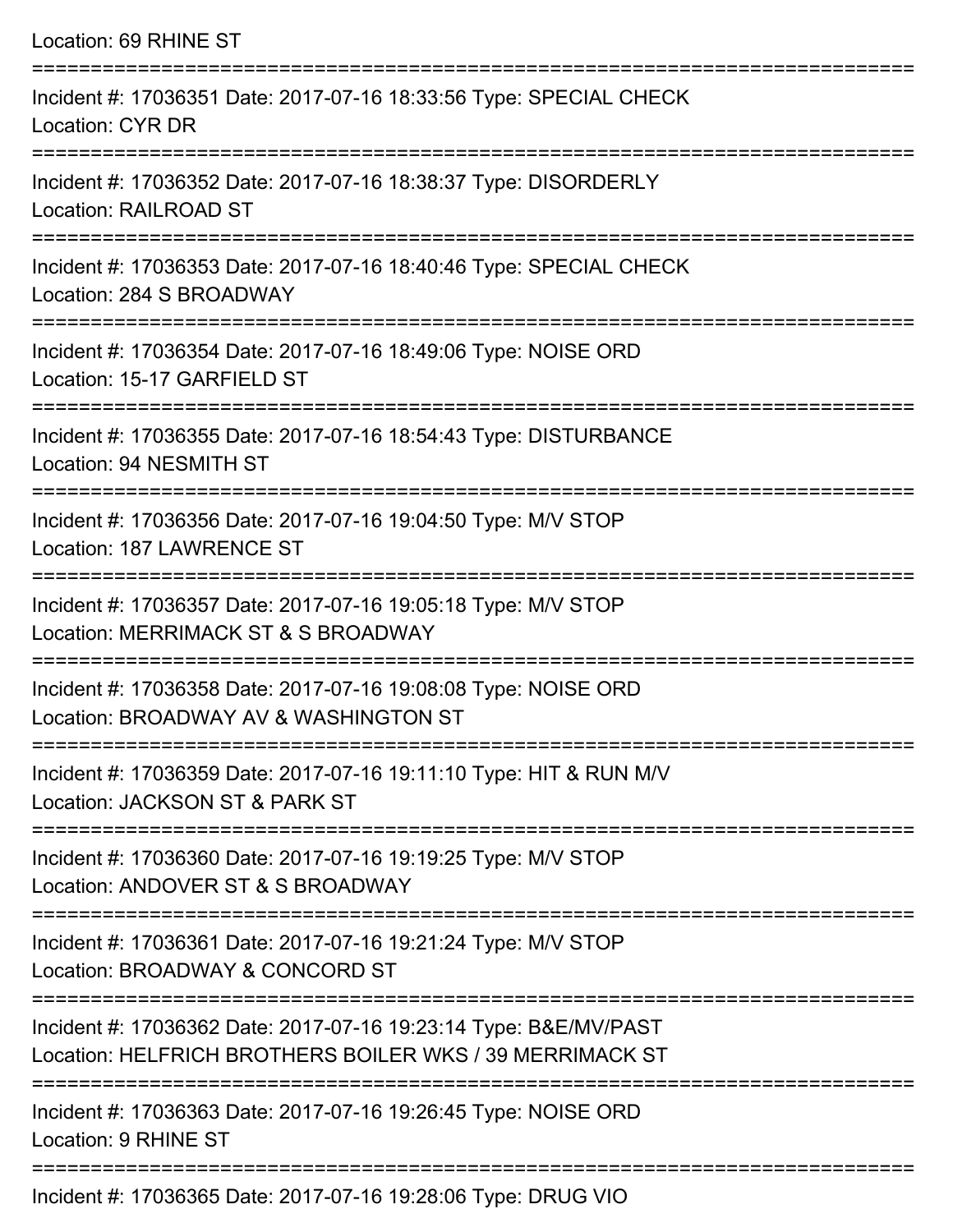| Location: 69 RHINE ST                                                                                                        |
|------------------------------------------------------------------------------------------------------------------------------|
| Incident #: 17036351 Date: 2017-07-16 18:33:56 Type: SPECIAL CHECK<br><b>Location: CYR DR</b>                                |
| Incident #: 17036352 Date: 2017-07-16 18:38:37 Type: DISORDERLY<br><b>Location: RAILROAD ST</b>                              |
| Incident #: 17036353 Date: 2017-07-16 18:40:46 Type: SPECIAL CHECK<br>Location: 284 S BROADWAY                               |
| Incident #: 17036354 Date: 2017-07-16 18:49:06 Type: NOISE ORD<br>Location: 15-17 GARFIELD ST                                |
| Incident #: 17036355 Date: 2017-07-16 18:54:43 Type: DISTURBANCE<br>Location: 94 NESMITH ST                                  |
| Incident #: 17036356 Date: 2017-07-16 19:04:50 Type: M/V STOP<br>Location: 187 LAWRENCE ST                                   |
| Incident #: 17036357 Date: 2017-07-16 19:05:18 Type: M/V STOP<br>Location: MERRIMACK ST & S BROADWAY                         |
| Incident #: 17036358 Date: 2017-07-16 19:08:08 Type: NOISE ORD<br>Location: BROADWAY AV & WASHINGTON ST                      |
| Incident #: 17036359 Date: 2017-07-16 19:11:10 Type: HIT & RUN M/V<br>Location: JACKSON ST & PARK ST                         |
| Incident #: 17036360 Date: 2017-07-16 19:19:25 Type: M/V STOP<br>Location: ANDOVER ST & S BROADWAY                           |
| Incident #: 17036361 Date: 2017-07-16 19:21:24 Type: M/V STOP<br>Location: BROADWAY & CONCORD ST                             |
| Incident #: 17036362 Date: 2017-07-16 19:23:14 Type: B&E/MV/PAST<br>Location: HELFRICH BROTHERS BOILER WKS / 39 MERRIMACK ST |
| Incident #: 17036363 Date: 2017-07-16 19:26:45 Type: NOISE ORD<br>Location: 9 RHINE ST                                       |

Incident #: 17036365 Date: 2017-07-16 19:28:06 Type: DRUG VIO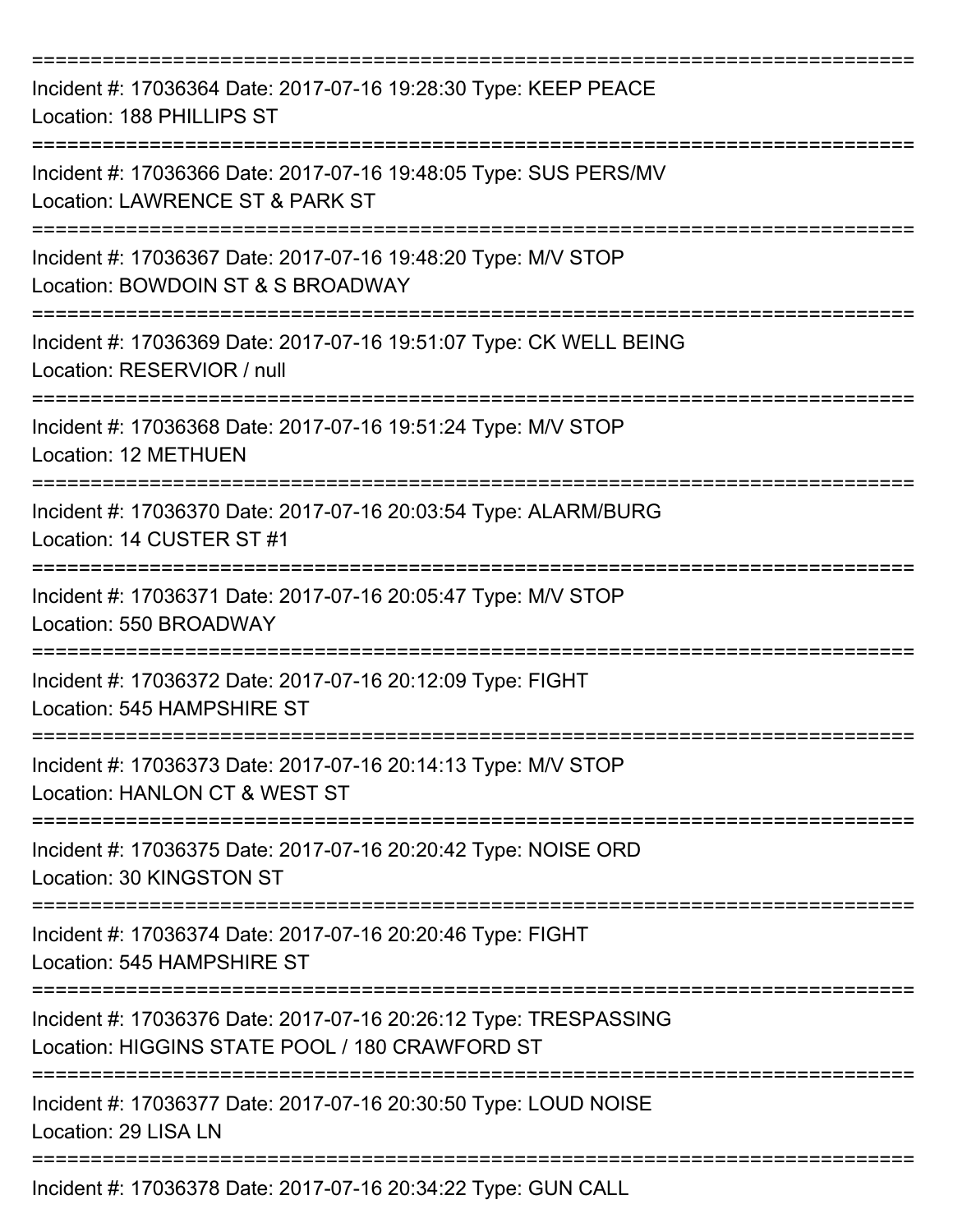| Incident #: 17036364 Date: 2017-07-16 19:28:30 Type: KEEP PEACE<br>Location: 188 PHILLIPS ST<br>=============================== |
|---------------------------------------------------------------------------------------------------------------------------------|
| Incident #: 17036366 Date: 2017-07-16 19:48:05 Type: SUS PERS/MV<br>Location: LAWRENCE ST & PARK ST                             |
| Incident #: 17036367 Date: 2017-07-16 19:48:20 Type: M/V STOP<br>Location: BOWDOIN ST & S BROADWAY                              |
| Incident #: 17036369 Date: 2017-07-16 19:51:07 Type: CK WELL BEING<br>Location: RESERVIOR / null                                |
| Incident #: 17036368 Date: 2017-07-16 19:51:24 Type: M/V STOP<br>Location: 12 METHUEN                                           |
| Incident #: 17036370 Date: 2017-07-16 20:03:54 Type: ALARM/BURG<br>Location: 14 CUSTER ST #1                                    |
| Incident #: 17036371 Date: 2017-07-16 20:05:47 Type: M/V STOP<br>Location: 550 BROADWAY                                         |
| Incident #: 17036372 Date: 2017-07-16 20:12:09 Type: FIGHT<br>Location: 545 HAMPSHIRE ST                                        |
| Incident #: 17036373 Date: 2017-07-16 20:14:13 Type: M/V STOP<br>Location: HANLON CT & WEST ST                                  |
| Incident #: 17036375 Date: 2017-07-16 20:20:42 Type: NOISE ORD<br>Location: 30 KINGSTON ST                                      |
| Incident #: 17036374 Date: 2017-07-16 20:20:46 Type: FIGHT<br>Location: 545 HAMPSHIRE ST                                        |
| Incident #: 17036376 Date: 2017-07-16 20:26:12 Type: TRESPASSING<br>Location: HIGGINS STATE POOL / 180 CRAWFORD ST              |
| Incident #: 17036377 Date: 2017-07-16 20:30:50 Type: LOUD NOISE<br>Location: 29 LISA LN                                         |
| Incident #: 17036378 Date: 2017-07-16 20:34:22 Type: GUN CALL                                                                   |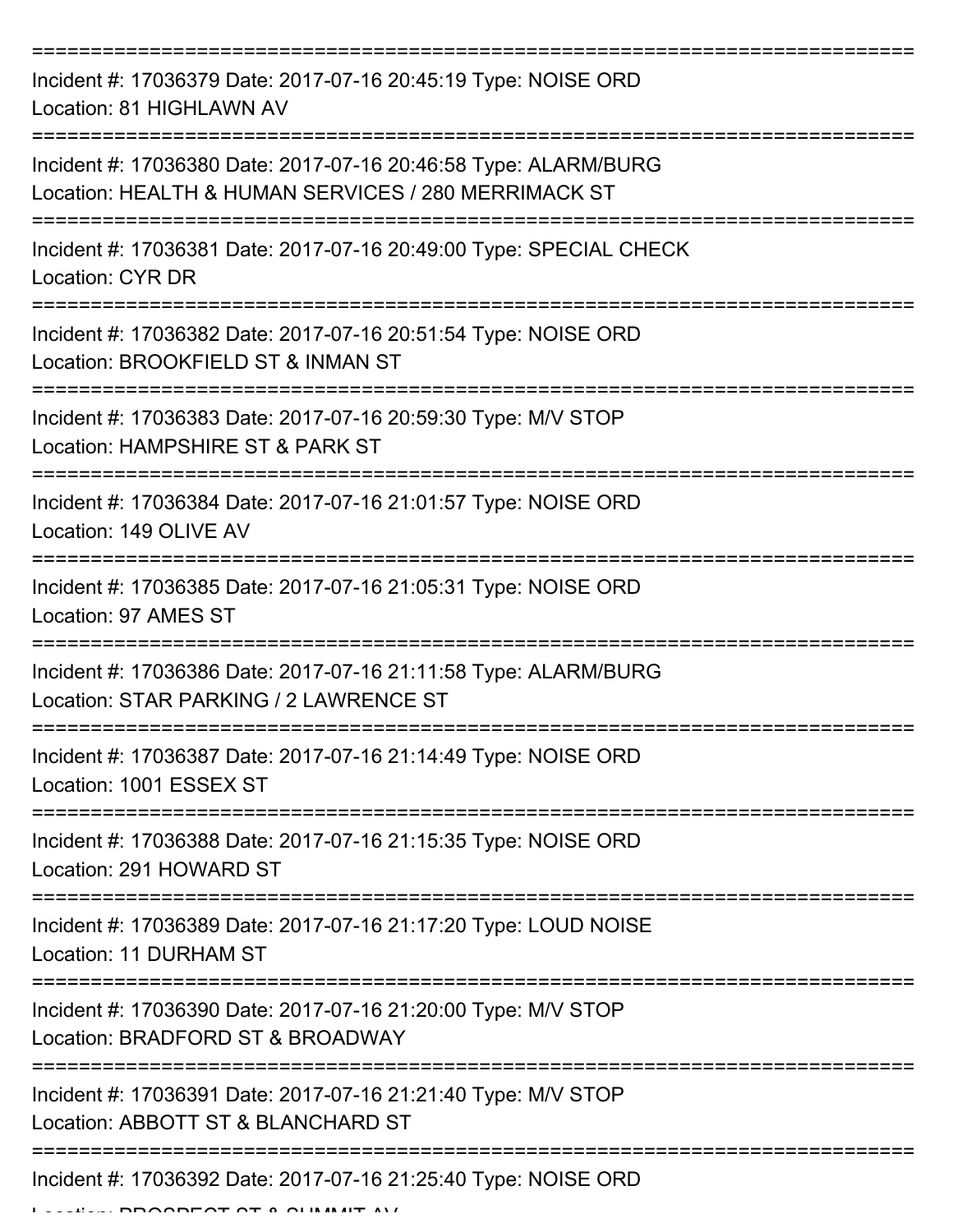| Incident #: 17036379 Date: 2017-07-16 20:45:19 Type: NOISE ORD<br>Location: 81 HIGHLAWN AV                              |
|-------------------------------------------------------------------------------------------------------------------------|
| Incident #: 17036380 Date: 2017-07-16 20:46:58 Type: ALARM/BURG<br>Location: HEALTH & HUMAN SERVICES / 280 MERRIMACK ST |
| Incident #: 17036381 Date: 2017-07-16 20:49:00 Type: SPECIAL CHECK<br><b>Location: CYR DR</b>                           |
| Incident #: 17036382 Date: 2017-07-16 20:51:54 Type: NOISE ORD<br>Location: BROOKFIELD ST & INMAN ST                    |
| Incident #: 17036383 Date: 2017-07-16 20:59:30 Type: M/V STOP<br>Location: HAMPSHIRE ST & PARK ST                       |
| Incident #: 17036384 Date: 2017-07-16 21:01:57 Type: NOISE ORD<br>Location: 149 OLIVE AV                                |
| Incident #: 17036385 Date: 2017-07-16 21:05:31 Type: NOISE ORD<br>Location: 97 AMES ST                                  |
| Incident #: 17036386 Date: 2017-07-16 21:11:58 Type: ALARM/BURG<br>Location: STAR PARKING / 2 LAWRENCE ST               |
| Incident #: 17036387 Date: 2017-07-16 21:14:49 Type: NOISE ORD<br>Location: 1001 ESSEX ST                               |
| Incident #: 17036388 Date: 2017-07-16 21:15:35 Type: NOISE ORD<br>Location: 291 HOWARD ST                               |
| Incident #: 17036389 Date: 2017-07-16 21:17:20 Type: LOUD NOISE<br>Location: 11 DURHAM ST                               |
| Incident #: 17036390 Date: 2017-07-16 21:20:00 Type: M/V STOP<br>Location: BRADFORD ST & BROADWAY                       |
| Incident #: 17036391 Date: 2017-07-16 21:21:40 Type: M/V STOP<br>Location: ABBOTT ST & BLANCHARD ST                     |
| Incident #: 17036392 Date: 2017-07-16 21:25:40 Type: NOISE ORD                                                          |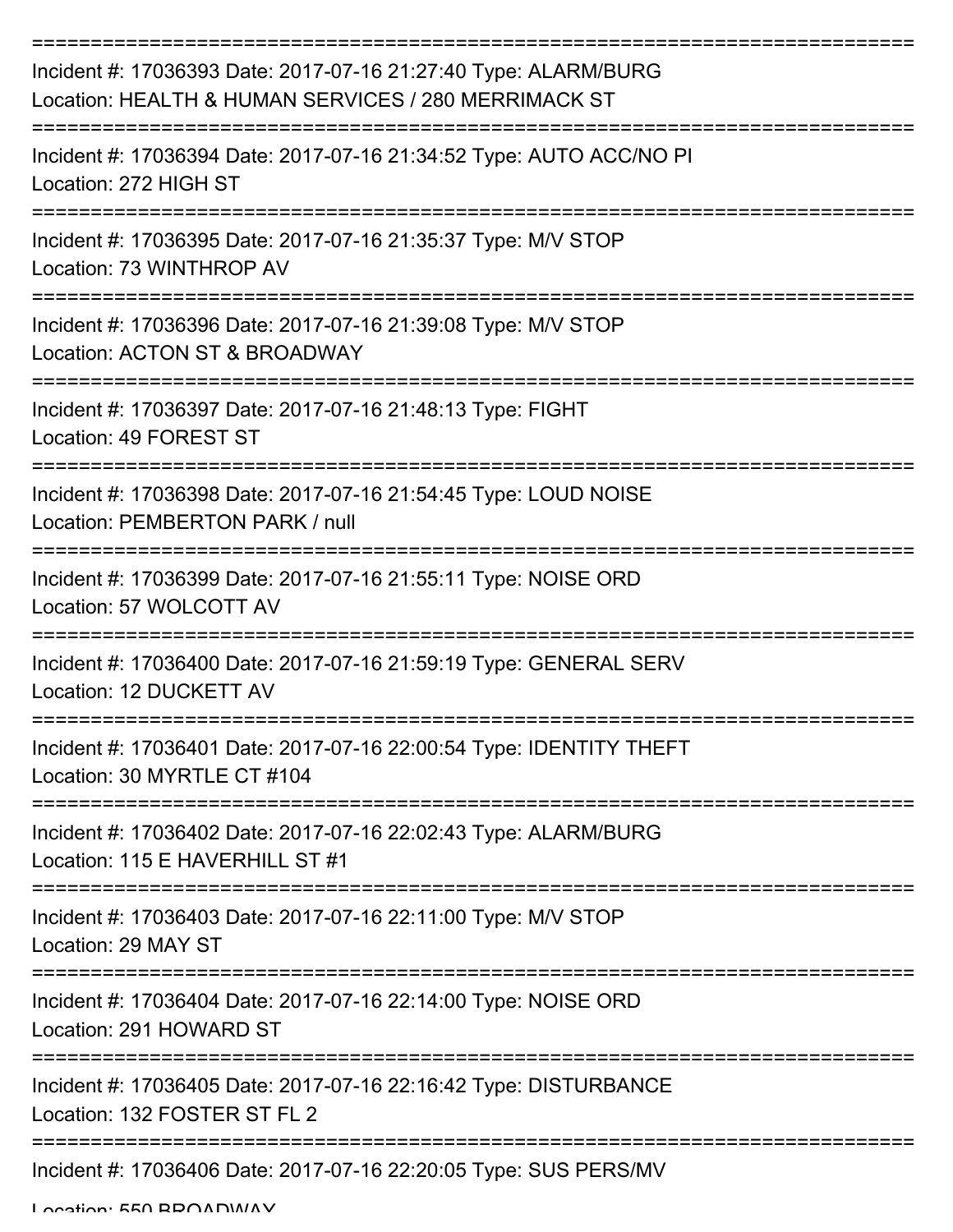| Incident #: 17036393 Date: 2017-07-16 21:27:40 Type: ALARM/BURG<br>Location: HEALTH & HUMAN SERVICES / 280 MERRIMACK ST |
|-------------------------------------------------------------------------------------------------------------------------|
| Incident #: 17036394 Date: 2017-07-16 21:34:52 Type: AUTO ACC/NO PI<br>Location: 272 HIGH ST                            |
| Incident #: 17036395 Date: 2017-07-16 21:35:37 Type: M/V STOP<br>Location: 73 WINTHROP AV                               |
| Incident #: 17036396 Date: 2017-07-16 21:39:08 Type: M/V STOP<br>Location: ACTON ST & BROADWAY                          |
| Incident #: 17036397 Date: 2017-07-16 21:48:13 Type: FIGHT<br>Location: 49 FOREST ST                                    |
| Incident #: 17036398 Date: 2017-07-16 21:54:45 Type: LOUD NOISE<br>Location: PEMBERTON PARK / null                      |
| Incident #: 17036399 Date: 2017-07-16 21:55:11 Type: NOISE ORD<br>Location: 57 WOLCOTT AV                               |
| Incident #: 17036400 Date: 2017-07-16 21:59:19 Type: GENERAL SERV<br>Location: 12 DUCKETT AV                            |
| Incident #: 17036401 Date: 2017-07-16 22:00:54 Type: IDENTITY THEFT<br>Location: 30 MYRTLE CT #104                      |
| Incident #: 17036402 Date: 2017-07-16 22:02:43 Type: ALARM/BURG<br>Location: 115 E HAVERHILL ST #1                      |
| Incident #: 17036403 Date: 2017-07-16 22:11:00 Type: M/V STOP<br>Location: 29 MAY ST                                    |
| Incident #: 17036404 Date: 2017-07-16 22:14:00 Type: NOISE ORD<br>Location: 291 HOWARD ST                               |
| Incident #: 17036405 Date: 2017-07-16 22:16:42 Type: DISTURBANCE<br>Location: 132 FOSTER ST FL 2                        |
| Incident #: 17036406 Date: 2017-07-16 22:20:05 Type: SUS PERS/MV                                                        |

Location: 550 BBOADWAY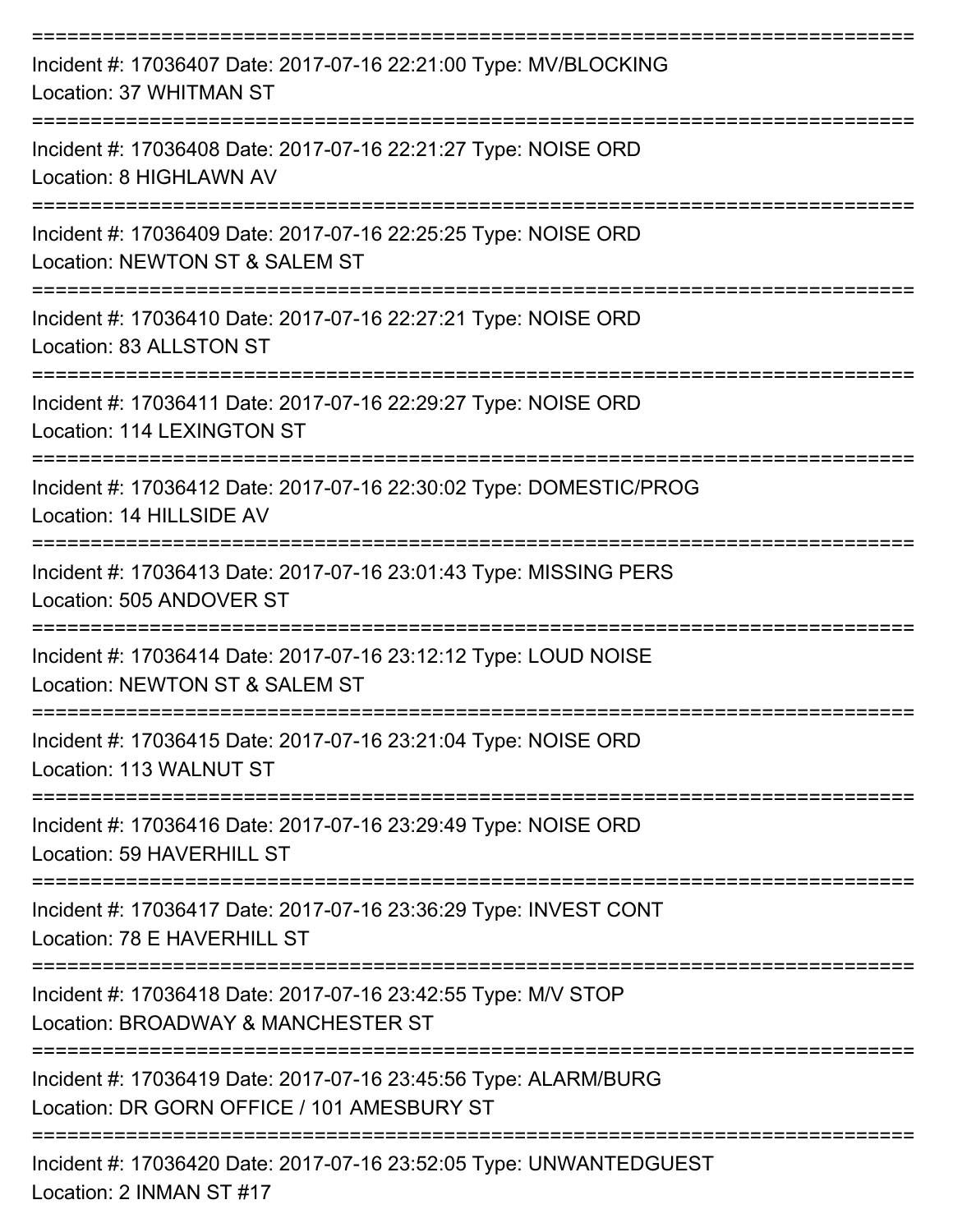| Incident #: 17036407 Date: 2017-07-16 22:21:00 Type: MV/BLOCKING<br>Location: 37 WHITMAN ST                   |
|---------------------------------------------------------------------------------------------------------------|
| Incident #: 17036408 Date: 2017-07-16 22:21:27 Type: NOISE ORD<br>Location: 8 HIGHLAWN AV                     |
| Incident #: 17036409 Date: 2017-07-16 22:25:25 Type: NOISE ORD<br>Location: NEWTON ST & SALEM ST              |
| Incident #: 17036410 Date: 2017-07-16 22:27:21 Type: NOISE ORD<br>Location: 83 ALLSTON ST                     |
| Incident #: 17036411 Date: 2017-07-16 22:29:27 Type: NOISE ORD<br>Location: 114 LEXINGTON ST                  |
| Incident #: 17036412 Date: 2017-07-16 22:30:02 Type: DOMESTIC/PROG<br>Location: 14 HILLSIDE AV                |
| Incident #: 17036413 Date: 2017-07-16 23:01:43 Type: MISSING PERS<br>Location: 505 ANDOVER ST                 |
| Incident #: 17036414 Date: 2017-07-16 23:12:12 Type: LOUD NOISE<br>Location: NEWTON ST & SALEM ST             |
| Incident #: 17036415 Date: 2017-07-16 23:21:04 Type: NOISE ORD<br>Location: 113 WALNUT ST                     |
| Incident #: 17036416 Date: 2017-07-16 23:29:49 Type: NOISE ORD<br>Location: 59 HAVERHILL ST                   |
| Incident #: 17036417 Date: 2017-07-16 23:36:29 Type: INVEST CONT<br>Location: 78 E HAVERHILL ST               |
| Incident #: 17036418 Date: 2017-07-16 23:42:55 Type: M/V STOP<br>Location: BROADWAY & MANCHESTER ST           |
| Incident #: 17036419 Date: 2017-07-16 23:45:56 Type: ALARM/BURG<br>Location: DR GORN OFFICE / 101 AMESBURY ST |
| Incident #: 17036420 Date: 2017-07-16 23:52:05 Type: UNWANTEDGUEST                                            |

Location: 2 INMAN ST #17